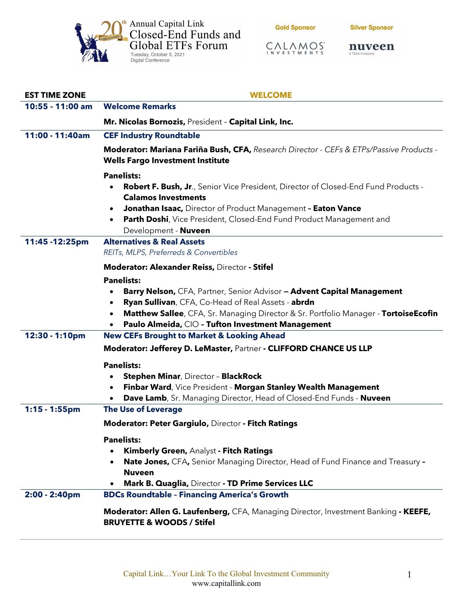Annual Capital Link<br>Closed-End Funds and<br>Global ETFs Forum th Tuesday, October 5, 2021<br>Digital Conference

**Gold Sponsor** 

 $\underset{\mathbf{INV}}{\mathsf{C}}\underset{\mathbf{N}}{\mathsf{N}}\underset{\mathbf{L}}{\mathsf{L}}\underset{\mathbf{N}}{\mathsf{M}}\underset{\mathbf{N}}{\mathsf{M}}\underset{\mathbf{D}}{\mathsf{S}}^{\mathsf{s}}$ 

**Silver Sponsor** 

nuveen A TIAA Company

| <b>EST TIME ZONE</b> | <b>WELCOME</b>                                                                                                                                                                                                                                                                                                                                    |
|----------------------|---------------------------------------------------------------------------------------------------------------------------------------------------------------------------------------------------------------------------------------------------------------------------------------------------------------------------------------------------|
| 10:55 - 11:00 am     | <b>Welcome Remarks</b>                                                                                                                                                                                                                                                                                                                            |
|                      | Mr. Nicolas Bornozis, President - Capital Link, Inc.                                                                                                                                                                                                                                                                                              |
| 11:00 - 11:40am      | <b>CEF Industry Roundtable</b>                                                                                                                                                                                                                                                                                                                    |
|                      | Moderator: Mariana Fariña Bush, CFA, Research Director - CEFs & ETPs/Passive Products -<br><b>Wells Fargo Investment Institute</b>                                                                                                                                                                                                                |
|                      | <b>Panelists:</b><br>Robert F. Bush, Jr., Senior Vice President, Director of Closed-End Fund Products -<br><b>Calamos Investments</b><br>Jonathan Isaac, Director of Product Management - Eaton Vance<br>$\bullet$<br>Parth Doshi, Vice President, Closed-End Fund Product Management and<br>Development - Nuveen                                 |
| 11:45 - 12:25pm      | <b>Alternatives &amp; Real Assets</b><br>REITs, MLPS, Preferreds & Convertibles                                                                                                                                                                                                                                                                   |
|                      | Moderator: Alexander Reiss, Director - Stifel                                                                                                                                                                                                                                                                                                     |
|                      | <b>Panelists:</b><br>Barry Nelson, CFA, Partner, Senior Advisor - Advent Capital Management<br>$\bullet$<br>Ryan Sullivan, CFA, Co-Head of Real Assets - abrdn<br>$\bullet$<br>Matthew Sallee, CFA, Sr. Managing Director & Sr. Portfolio Manager - TortoiseEcofin<br>$\bullet$<br>Paulo Almeida, CIO - Tufton Investment Management<br>$\bullet$ |
| 12:30 - 1:10pm       | <b>New CEFs Brought to Market &amp; Looking Ahead</b>                                                                                                                                                                                                                                                                                             |
|                      | Moderator: Jefferey D. LeMaster, Partner - CLIFFORD CHANCE US LLP                                                                                                                                                                                                                                                                                 |
|                      | <b>Panelists:</b><br><b>Stephen Minar, Director - BlackRock</b><br>Finbar Ward, Vice President - Morgan Stanley Wealth Management<br>$\bullet$<br>Dave Lamb, Sr. Managing Director, Head of Closed-End Funds - Nuveen                                                                                                                             |
| $1:15 - 1:55$ pm     | <b>The Use of Leverage</b>                                                                                                                                                                                                                                                                                                                        |
|                      | Moderator: Peter Gargiulo, Director - Fitch Ratings                                                                                                                                                                                                                                                                                               |
|                      | <b>Panelists:</b><br><b>Kimberly Green, Analyst - Fitch Ratings</b><br><b>Nate Jones, CFA, Senior Managing Director, Head of Fund Finance and Treasury -</b><br>$\bullet$<br><b>Nuveen</b><br>Mark B. Quaglia, Director - TD Prime Services LLC<br>$\bullet$                                                                                      |
| 2:00 - 2:40pm        | <b>BDCs Roundtable - Financing America's Growth</b>                                                                                                                                                                                                                                                                                               |
|                      | Moderator: Allen G. Laufenberg, CFA, Managing Director, Investment Banking - KEEFE,<br><b>BRUYETTE &amp; WOODS / Stifel</b>                                                                                                                                                                                                                       |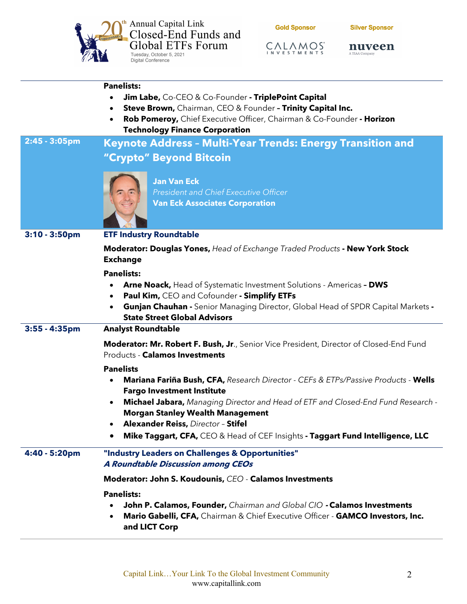th Annual Capital Link<br>Closed-End Funds and<br>Global ETFs Forum<br>Tuesday, October 5, 2021<br>Digital Conference

 $\underset{\mathbf{INV}}{\mathsf{C}}\underset{\mathbf{N}}{\mathsf{N}}\underset{\mathbf{L}}{\mathsf{L}}\underset{\mathbf{N}}{\mathsf{M}}\underset{\mathbf{N}}{\mathsf{M}}\underset{\mathbf{D}}{\mathsf{S}}^{\mathsf{s}}$ 

**Silver Sponsor** 

nuveen A TIAA Company

|                  | <b>Panelists:</b><br>Jim Labe, Co-CEO & Co-Founder - TriplePoint Capital<br>Steve Brown, Chairman, CEO & Founder - Trinity Capital Inc.<br>$\bullet$<br>Rob Pomeroy, Chief Executive Officer, Chairman & Co-Founder - Horizon<br>$\bullet$<br><b>Technology Finance Corporation</b> |
|------------------|-------------------------------------------------------------------------------------------------------------------------------------------------------------------------------------------------------------------------------------------------------------------------------------|
| 2:45 - 3:05pm    | Keynote Address - Multi-Year Trends: Energy Transition and                                                                                                                                                                                                                          |
|                  | "Crypto" Beyond Bitcoin                                                                                                                                                                                                                                                             |
|                  | <b>Jan Van Eck</b><br><b>President and Chief Executive Officer</b><br><b>Van Eck Associates Corporation</b>                                                                                                                                                                         |
| $3:10 - 3:50$ pm | <b>ETF Industry Roundtable</b>                                                                                                                                                                                                                                                      |
|                  | Moderator: Douglas Yones, Head of Exchange Traded Products - New York Stock<br><b>Exchange</b>                                                                                                                                                                                      |
|                  | <b>Panelists:</b><br>Arne Noack, Head of Systematic Investment Solutions - Americas - DWS<br>$\bullet$<br>Paul Kim, CEO and Cofounder - Simplify ETFs<br>$\bullet$                                                                                                                  |
|                  | <b>Gunjan Chauhan -</b> Senior Managing Director, Global Head of SPDR Capital Markets -<br>$\bullet$<br><b>State Street Global Advisors</b>                                                                                                                                         |
| $3:55 - 4:35$ pm | <b>Analyst Roundtable</b>                                                                                                                                                                                                                                                           |
|                  | Moderator: Mr. Robert F. Bush, Jr., Senior Vice President, Director of Closed-End Fund<br>Products - Calamos Investments                                                                                                                                                            |
|                  | <b>Panelists</b><br>Mariana Fariña Bush, CFA, Research Director - CEFs & ETPs/Passive Products - Wells<br>$\bullet$<br><b>Fargo Investment Institute</b>                                                                                                                            |
|                  | Michael Jabara, Managing Director and Head of ETF and Closed-End Fund Research -<br>$\bullet$<br><b>Morgan Stanley Wealth Management</b>                                                                                                                                            |
|                  | <b>Alexander Reiss, Director - Stifel</b><br>Mike Taggart, CFA, CEO & Head of CEF Insights - Taggart Fund Intelligence, LLC<br>$\bullet$                                                                                                                                            |
| 4:40 - 5:20pm    | "Industry Leaders on Challenges & Opportunities"<br><b>A Roundtable Discussion among CEOs</b>                                                                                                                                                                                       |
|                  | Moderator: John S. Koudounis, CEO - Calamos Investments                                                                                                                                                                                                                             |
|                  | <b>Panelists:</b><br>John P. Calamos, Founder, Chairman and Global CIO - Calamos Investments<br>Mario Gabelli, CFA, Chairman & Chief Executive Officer - GAMCO Investors, Inc.<br>$\bullet$<br>and LICT Corp                                                                        |